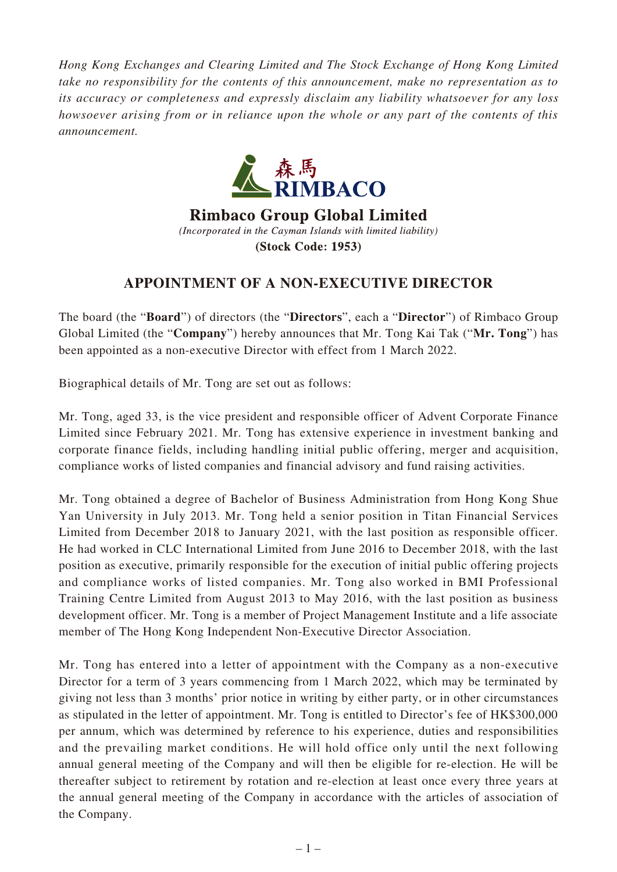*Hong Kong Exchanges and Clearing Limited and The Stock Exchange of Hong Kong Limited take no responsibility for the contents of this announcement, make no representation as to its accuracy or completeness and expressly disclaim any liability whatsoever for any loss howsoever arising from or in reliance upon the whole or any part of the contents of this announcement.*



**Rimbaco Group Global Limited** (Incorporated in the Cayman Islands with limited liability) (Stock Code: 1953)

## **APPOINTMENT OF A NON-EXECUTIVE DIRECTOR**

The board (the "**Board**") of directors (the "**Directors**", each a "**Director**") of Rimbaco Group Global Limited (the "**Company**") hereby announces that Mr. Tong Kai Tak ("**Mr. Tong**") has been appointed as a non-executive Director with effect from 1 March 2022.

Biographical details of Mr. Tong are set out as follows:

Mr. Tong, aged 33, is the vice president and responsible officer of Advent Corporate Finance Limited since February 2021. Mr. Tong has extensive experience in investment banking and corporate finance fields, including handling initial public offering, merger and acquisition, compliance works of listed companies and financial advisory and fund raising activities.

Mr. Tong obtained a degree of Bachelor of Business Administration from Hong Kong Shue Yan University in July 2013. Mr. Tong held a senior position in Titan Financial Services Limited from December 2018 to January 2021, with the last position as responsible officer. He had worked in CLC International Limited from June 2016 to December 2018, with the last position as executive, primarily responsible for the execution of initial public offering projects and compliance works of listed companies. Mr. Tong also worked in BMI Professional Training Centre Limited from August 2013 to May 2016, with the last position as business development officer. Mr. Tong is a member of Project Management Institute and a life associate member of The Hong Kong Independent Non-Executive Director Association.

Mr. Tong has entered into a letter of appointment with the Company as a non-executive Director for a term of 3 years commencing from 1 March 2022, which may be terminated by giving not less than 3 months' prior notice in writing by either party, or in other circumstances as stipulated in the letter of appointment. Mr. Tong is entitled to Director's fee of HK\$300,000 per annum, which was determined by reference to his experience, duties and responsibilities and the prevailing market conditions. He will hold office only until the next following annual general meeting of the Company and will then be eligible for re-election. He will be thereafter subject to retirement by rotation and re-election at least once every three years at the annual general meeting of the Company in accordance with the articles of association of the Company.